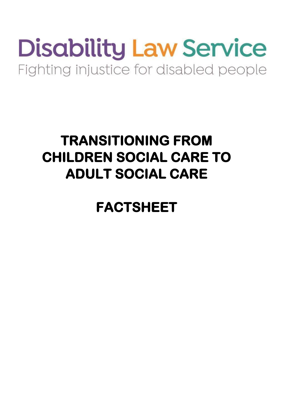# **Disability Law Service** Fighting injustice for disabled people

# **TRANSITIONING FROM CHILDREN SOCIAL CARE TO ADULT SOCIAL CARE**

**FACTSHEET**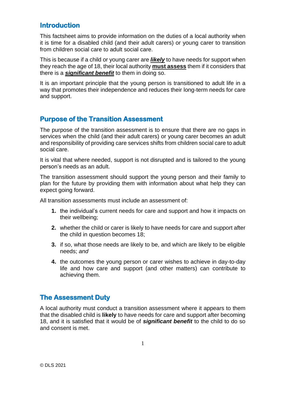# **Introduction**

This factsheet aims to provide information on the duties of a local authority when it is time for a disabled child (and their adult carers) or young carer to transition from children social care to adult social care.

This is because if a child or young carer are *likely* to have needs for support when they reach the age of 18, their local authority **must assess** them if it considers that there is a *significant benefit* to them in doing so.

It is an important principle that the young person is transitioned to adult life in a way that promotes their independence and reduces their long-term needs for care and support.

# **Purpose of the Transition Assessment**

The purpose of the transition assessment is to ensure that there are no gaps in services when the child (and their adult carers) or young carer becomes an adult and responsibility of providing care services shifts from children social care to adult social care.

It is vital that where needed, support is not disrupted and is tailored to the young person's needs as an adult.

The transition assessment should support the young person and their family to plan for the future by providing them with information about what help they can expect going forward.

All transition assessments must include an assessment of:

- **1.** the individual's current needs for care and support and how it impacts on their wellbeing;
- **2.** whether the child or carer is likely to have needs for care and support after the child in question becomes 18;
- **3.** if so, what those needs are likely to be, and which are likely to be eligible needs; *and*
- **4.** the outcomes the young person or carer wishes to achieve in day-to-day life and how care and support (and other matters) can contribute to achieving them.

# **The Assessment Duty**

A local authority must conduct a transition assessment where it appears to them that the disabled child is **likely** to have needs for care and support after becoming 18, and it is satisfied that it would be of *significant benefit* to the child to do so and consent is met.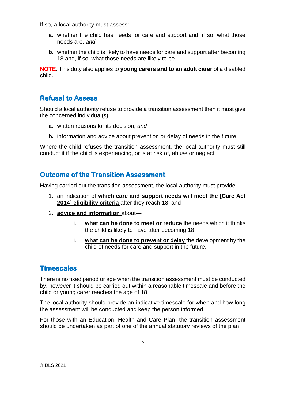If so, a local authority must assess:

- **a.** whether the child has needs for care and support and, if so, what those needs are, *and*
- **b.** whether the child is likely to have needs for care and support after becoming 18 and, if so, what those needs are likely to be.

**NOTE***:* This duty also applies to **young carers and to an adult carer** of a disabled child.

# **Refusal to Assess**

Should a local authority refuse to provide a transition assessment then it must give the concerned individual(s):

- **a.** written reasons for its decision, *and*
- **b.** information and advice about prevention or delay of needs in the future.

Where the child refuses the transition assessment, the local authority must still conduct it if the child is experiencing, or is at risk of, abuse or neglect.

# **Outcome of the Transition Assessment**

Having carried out the transition assessment, the local authority must provide:

- 1. an indication of **which care and support needs will meet the [Care Act 2014] eligibility criteria** after they reach 18, and
- 2. **advice and information** about
	- i. **what can be done to meet or reduce** the needs which it thinks the child is likely to have after becoming 18;
	- ii. **what can be done to prevent or delay** the development by the child of needs for care and support in the future.

### **Timescales**

There is no fixed period or age when the transition assessment must be conducted by, however it should be carried out within a reasonable timescale and before the child or young carer reaches the age of 18.

The local authority should provide an indicative timescale for when and how long the assessment will be conducted and keep the person informed.

For those with an Education, Health and Care Plan, the transition assessment should be undertaken as part of one of the annual statutory reviews of the plan.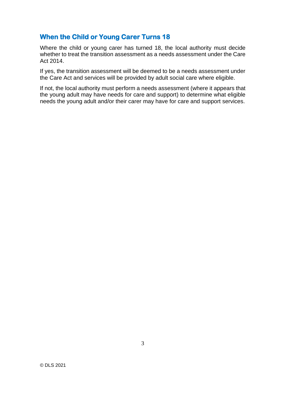# **When the Child or Young Carer Turns 18**

Where the child or young carer has turned 18, the local authority must decide whether to treat the transition assessment as a needs assessment under the Care Act 2014.

If yes, the transition assessment will be deemed to be a needs assessment under the Care Act and services will be provided by adult social care where eligible.

If not, the local authority must perform a needs assessment (where it appears that the young adult may have needs for care and support) to determine what eligible needs the young adult and/or their carer may have for care and support services.